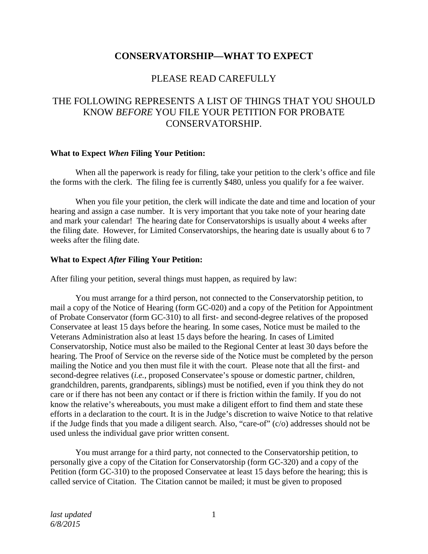## **CONSERVATORSHIP—WHAT TO EXPECT**

## PLEASE READ CAREFULLY

# THE FOLLOWING REPRESENTS A LIST OF THINGS THAT YOU SHOULD KNOW *BEFORE* YOU FILE YOUR PETITION FOR PROBATE CONSERVATORSHIP.

#### **What to Expect** *When* **Filing Your Petition:**

When all the paperwork is ready for filing, take your petition to the clerk's office and file the forms with the clerk. The filing fee is currently \$480, unless you qualify for a fee waiver.

When you file your petition, the clerk will indicate the date and time and location of your hearing and assign a case number. It is very important that you take note of your hearing date and mark your calendar! The hearing date for Conservatorships is usually about 4 weeks after the filing date. However, for Limited Conservatorships, the hearing date is usually about 6 to 7 weeks after the filing date.

#### **What to Expect** *After* **Filing Your Petition:**

After filing your petition, several things must happen, as required by law:

You must arrange for a third person, not connected to the Conservatorship petition, to mail a copy of the Notice of Hearing (form GC-020) and a copy of the Petition for Appointment of Probate Conservator (form GC-310) to all first- and second-degree relatives of the proposed Conservatee at least 15 days before the hearing. In some cases, Notice must be mailed to the Veterans Administration also at least 15 days before the hearing. In cases of Limited Conservatorship, Notice must also be mailed to the Regional Center at least 30 days before the hearing. The Proof of Service on the reverse side of the Notice must be completed by the person mailing the Notice and you then must file it with the court. Please note that all the first- and second-degree relatives (*i.e.*, proposed Conservatee's spouse or domestic partner, children, grandchildren, parents, grandparents, siblings) must be notified, even if you think they do not care or if there has not been any contact or if there is friction within the family. If you do not know the relative's whereabouts, you must make a diligent effort to find them and state these efforts in a declaration to the court. It is in the Judge's discretion to waive Notice to that relative if the Judge finds that you made a diligent search. Also, "care-of" (c/o) addresses should not be used unless the individual gave prior written consent.

You must arrange for a third party, not connected to the Conservatorship petition, to personally give a copy of the Citation for Conservatorship (form GC-320) and a copy of the Petition (form GC-310) to the proposed Conservatee at least 15 days before the hearing; this is called service of Citation. The Citation cannot be mailed; it must be given to proposed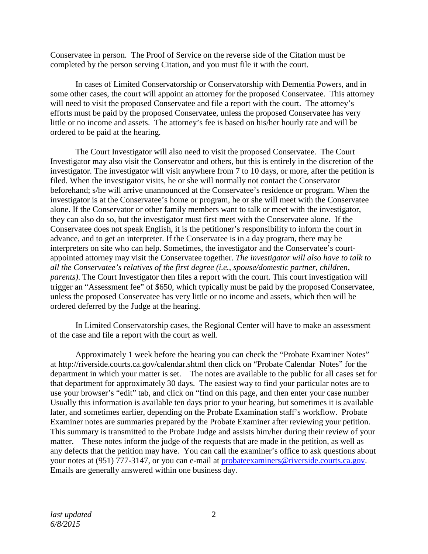Conservatee in person. The Proof of Service on the reverse side of the Citation must be completed by the person serving Citation, and you must file it with the court.

In cases of Limited Conservatorship or Conservatorship with Dementia Powers, and in some other cases, the court will appoint an attorney for the proposed Conservatee. This attorney will need to visit the proposed Conservatee and file a report with the court. The attorney's efforts must be paid by the proposed Conservatee, unless the proposed Conservatee has very little or no income and assets. The attorney's fee is based on his/her hourly rate and will be ordered to be paid at the hearing.

The Court Investigator will also need to visit the proposed Conservatee. The Court Investigator may also visit the Conservator and others, but this is entirely in the discretion of the investigator. The investigator will visit anywhere from 7 to 10 days, or more, after the petition is filed. When the investigator visits, he or she will normally not contact the Conservator beforehand; s/he will arrive unannounced at the Conservatee's residence or program. When the investigator is at the Conservatee's home or program, he or she will meet with the Conservatee alone. If the Conservator or other family members want to talk or meet with the investigator, they can also do so, but the investigator must first meet with the Conservatee alone. If the Conservatee does not speak English, it is the petitioner's responsibility to inform the court in advance, and to get an interpreter. If the Conservatee is in a day program, there may be interpreters on site who can help. Sometimes, the investigator and the Conservatee's courtappointed attorney may visit the Conservatee together. *The investigator will also have to talk to all the Conservatee's relatives of the first degree (i.e., spouse/domestic partner, children, parents)*. The Court Investigator then files a report with the court. This court investigation will trigger an "Assessment fee" of \$650, which typically must be paid by the proposed Conservatee, unless the proposed Conservatee has very little or no income and assets, which then will be ordered deferred by the Judge at the hearing.

In Limited Conservatorship cases, the Regional Center will have to make an assessment of the case and file a report with the court as well.

Approximately 1 week before the hearing you can check the "Probate Examiner Notes" at http://riverside.courts.ca.gov/calendar.shtml then click on "Probate Calendar Notes" for the department in which your matter is set. The notes are available to the public for all cases set for that department for approximately 30 days. The easiest way to find your particular notes are to use your browser's "edit" tab, and click on "find on this page, and then enter your case number Usually this information is available ten days prior to your hearing, but sometimes it is available later, and sometimes earlier, depending on the Probate Examination staff's workflow. Probate Examiner notes are summaries prepared by the Probate Examiner after reviewing your petition. This summary is transmitted to the Probate Judge and assists him/her during their review of your matter. These notes inform the judge of the requests that are made in the petition, as well as any defects that the petition may have. You can call the examiner's office to ask questions about your notes at (951) 777-3147, or you can e-mail at [probateexaminers@riverside.courts.ca.gov.](mailto:probateexaminers@riverside.courts.ca.gov) Emails are generally answered within one business day.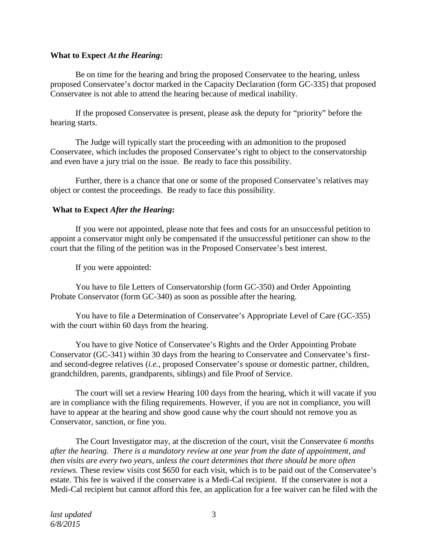#### **What to Expect** *At the Hearing***:**

Be on time for the hearing and bring the proposed Conservatee to the hearing, unless proposed Conservatee's doctor marked in the Capacity Declaration (form GC-335) that proposed Conservatee is not able to attend the hearing because of medical inability.

If the proposed Conservatee is present, please ask the deputy for "priority" before the hearing starts.

The Judge will typically start the proceeding with an admonition to the proposed Conservatee, which includes the proposed Conservatee's right to object to the conservatorship and even have a jury trial on the issue. Be ready to face this possibility.

Further, there is a chance that one or some of the proposed Conservatee's relatives may object or contest the proceedings. Be ready to face this possibility.

#### **What to Expect** *After the Hearing***:**

If you were not appointed, please note that fees and costs for an unsuccessful petition to appoint a conservator might only be compensated if the unsuccessful petitioner can show to the court that the filing of the petition was in the Proposed Conservatee's best interest.

If you were appointed:

You have to file Letters of Conservatorship (form GC-350) and Order Appointing Probate Conservator (form GC-340) as soon as possible after the hearing.

You have to file a Determination of Conservatee's Appropriate Level of Care (GC-355) with the court within 60 days from the hearing.

You have to give Notice of Conservatee's Rights and the Order Appointing Probate Conservator (GC-341) within 30 days from the hearing to Conservatee and Conservatee's firstand second-degree relatives (*i.e.*, proposed Conservatee's spouse or domestic partner, children, grandchildren, parents, grandparents, siblings) and file Proof of Service.

The court will set a review Hearing 100 days from the hearing, which it will vacate if you are in compliance with the filing requirements. However, if you are not in compliance, you will have to appear at the hearing and show good cause why the court should not remove you as Conservator, sanction, or fine you.

The Court Investigator may, at the discretion of the court, visit the Conservatee *6 months after the hearing. There is a mandatory review at one year from the date of appointment, and then visits are every two years, unless the court determines that there should be more often reviews.* These review visits cost \$650 for each visit, which is to be paid out of the Conservatee's estate. This fee is waived if the conservatee is a Medi-Cal recipient. If the conservatee is not a Medi-Cal recipient but cannot afford this fee, an application for a fee waiver can be filed with the